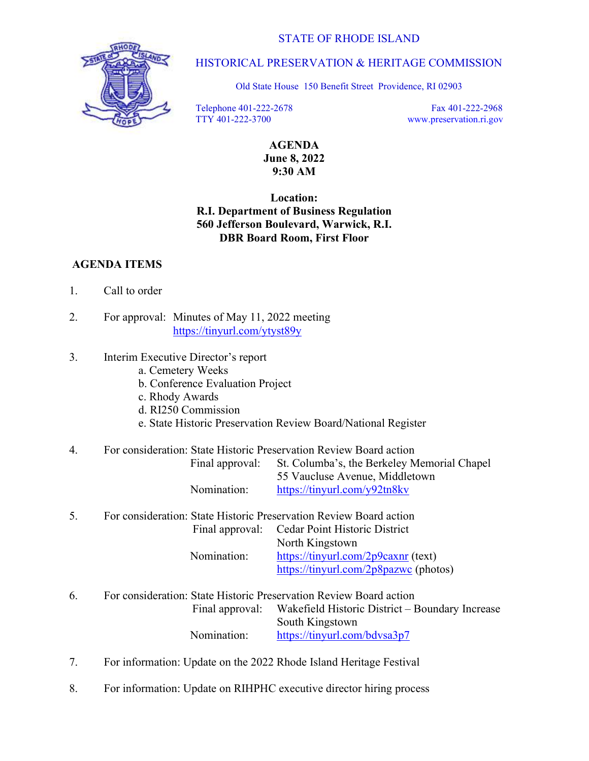

## HISTORICAL PRESERVATION & HERITAGE COMMISSION

Old State House 150 Benefit Street Providence, RI 02903

 Telephone 401-222-2678 TTY 401-222-3700

 Fax 401-222-2968 [www.preservation.ri.gov](http://www.preservation.ri.gov) 

AGENDA June 8, 2022 9:30 AM

### Location: R.I. Department of Business Regulation 560 Jefferson Boulevard, Warwick, R.I. DBR Board Room, First Floor

### AGENDA ITEMS

- 1. Call to order
- 2. For approval: Minutes of May 11, 2022 meeting <https://tinyurl.com/ytyst89y>
- 3. Interim Executive Director's report
	- a. Cemetery Weeks
	- b. Conference Evaluation Project
	- c. Rhody Awards
	- d. RI250 Commission
	- e. State Historic Preservation Review Board/National Register

#### 4. For consideration: State Historic Preservation Review Board action

| Final approval: | St. Columba's, the Berkeley Memorial Chapel |
|-----------------|---------------------------------------------|
|                 | 55 Vaucluse Avenue, Middletown              |
| Nomination:     | https://tinyurl.com/y92tn8kv                |

# 5. For consideration: State Historic Preservation Review Board action Final approval: Cedar Point Historic District

 North Kingstown Nomination: [https://tinyurl.com/2p9caxnr \(te](https://tinyurl.com/2p9caxnr)xt) [https://tinyurl.com/2p8pazwc \(p](https://tinyurl.com/2p8pazwc)hotos)

- 6. For consideration: State Historic Preservation Review Board action Final approval: Wakefield Historic District – Boundary Increase South Kingstown Nomination: <https://tinyurl.com/bdvsa3p7>
- 7. For information: Update on the 2022 Rhode Island Heritage Festival
- 8. For information: Update on RIHPHC executive director hiring process